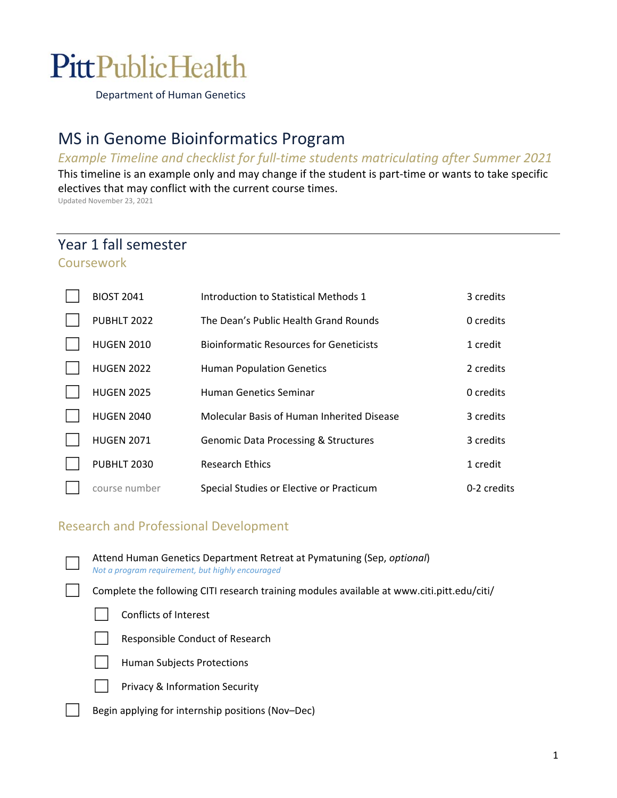# **PittPublicHealth**

Department of Human Genetics

# MS in Genome Bioinformatics Program

#### *Example Timeline and checklist for full‐time students matriculating after Summer 2021*

This timeline is an example only and may change if the student is part-time or wants to take specific electives that may conflict with the current course times.

Updated November 23, 2021

## Year 1 fall semester Coursework

| <b>BIOST 2041</b> | Introduction to Statistical Methods 1           | 3 credits   |
|-------------------|-------------------------------------------------|-------------|
| PUBHLT 2022       | The Dean's Public Health Grand Rounds           | 0 credits   |
| <b>HUGEN 2010</b> | <b>Bioinformatic Resources for Geneticists</b>  | 1 credit    |
| <b>HUGEN 2022</b> | <b>Human Population Genetics</b>                | 2 credits   |
| <b>HUGEN 2025</b> | Human Genetics Seminar                          | 0 credits   |
| <b>HUGEN 2040</b> | Molecular Basis of Human Inherited Disease      | 3 credits   |
| <b>HUGEN 2071</b> | <b>Genomic Data Processing &amp; Structures</b> | 3 credits   |
| PUBHLT 2030       | <b>Research Ethics</b>                          | 1 credit    |
| course number     | Special Studies or Elective or Practicum        | 0-2 credits |

## Research and Professional Development

| Attend Human Genetics Department Retreat at Pymatuning (Sep, optional)<br>Not a program requirement, but highly encouraged |  |  |
|----------------------------------------------------------------------------------------------------------------------------|--|--|
| Complete the following CITI research training modules available at www.citi.pitt.edu/citi/                                 |  |  |
| Conflicts of Interest                                                                                                      |  |  |
| Responsible Conduct of Research                                                                                            |  |  |
| <b>Human Subjects Protections</b>                                                                                          |  |  |
| <b>Privacy &amp; Information Security</b>                                                                                  |  |  |
| Begin applying for internship positions (Nov-Dec)                                                                          |  |  |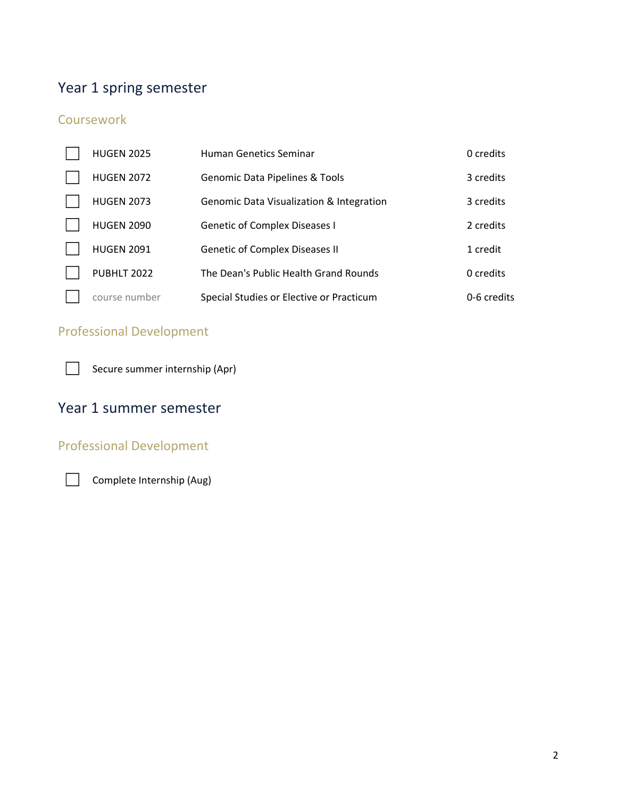# Year 1 spring semester

## **Coursework**

| <b>HUGEN 2025</b> | <b>Human Genetics Seminar</b>            | 0 credits   |
|-------------------|------------------------------------------|-------------|
| <b>HUGEN 2072</b> | Genomic Data Pipelines & Tools           | 3 credits   |
| <b>HUGEN 2073</b> | Genomic Data Visualization & Integration | 3 credits   |
| <b>HUGEN 2090</b> | <b>Genetic of Complex Diseases I</b>     | 2 credits   |
| <b>HUGEN 2091</b> | <b>Genetic of Complex Diseases II</b>    | 1 credit    |
| PUBHLT 2022       | The Dean's Public Health Grand Rounds    | 0 credits   |
| course number     | Special Studies or Elective or Practicum | 0-6 credits |

## Professional Development

□ Secure summer internship (Apr)

## Year 1 summer semester

## Professional Development

□ Complete Internship (Aug)